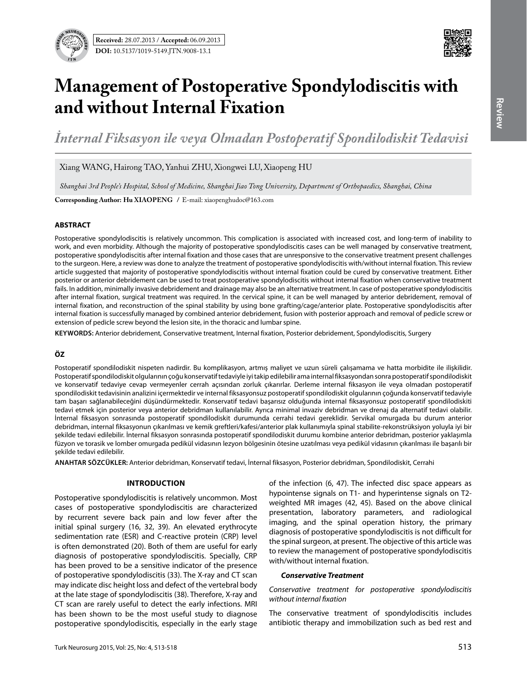

# **Management of Postoperative Spondylodiscitis with and without Internal Fixation**

*İnternal Fiksasyon ile veya Olmadan Postoperatif Spondilodiskit Tedavisi* 

Xiang Wang, Hairong Tao, Yanhui Zhu, Xiongwei Lu, Xiaopeng Hu

*Shanghai 3rd People's Hospital, School of Medicine, Shanghai Jiao Tong University, Department of Orthopaedics, Shanghai, China*

**Corresponding Author: Hu XIaopeng /** E-mail: xiaopenghudoc@163.com

#### **ABSTRACT**

Postoperative spondylodiscitis is relatively uncommon. This complication is associated with increased cost, and long-term of inability to work, and even morbidity. Although the majority of postoperative spondylodiscitis cases can be well managed by conservative treatment, postoperative spondylodiscitis after internal fixation and those cases that are unresponsive to the conservative treatment present challenges to the surgeon. Here, a review was done to analyze the treatment of postoperative spondylodiscitis with/without internal fixation. This review article suggested that majority of postoperative spondylodiscitis without internal fixation could be cured by conservative treatment. Either posterior or anterior debridement can be used to treat postoperative spondylodiscitis without internal fixation when conservative treatment fails. In addition, minimally invasive debridement and drainage may also be an alternative treatment. In case of postoperative spondylodiscitis after internal fixation, surgical treatment was required. In the cervical spine, it can be well managed by anterior debridement, removal of internal fixation, and reconstruction of the spinal stability by using bone grafting/cage/anterior plate. Postoperative spondylodiscitis after internal fixation is successfully managed by combined anterior debridement, fusion with posterior approach and removal of pedicle screw or extension of pedicle screw beyond the lesion site, in the thoracic and lumbar spine.

**Keywords:** Anterior debridement, Conservative treatment, Internal fixation, Posterior debridement, Spondylodiscitis, Surgery

## **ÖZ**

Postoperatif spondilodiskit nispeten nadirdir. Bu komplikasyon, artmış maliyet ve uzun süreli çalışamama ve hatta morbidite ile ilişkilidir. Postoperatif spondilodiskit olgularının çoğu konservatif tedaviyle iyi takip edilebilir ama internal fiksasyondan sonra postoperatif spondilodiskit ve konservatif tedaviye cevap vermeyenler cerrah açısından zorluk çıkarırlar. Derleme internal fiksasyon ile veya olmadan postoperatif spondilodiskit tedavisinin analizini içermektedir ve internal fiksasyonsuz postoperatif spondilodiskit olgularının çoğunda konservatif tedaviyle tam başarı sağlanabileceğini düşündürmektedir. Konservatif tedavi başarısız olduğunda internal fiksasyonsuz postoperatif spondilodiskiti tedavi etmek için posterior veya anterior debridman kullanılabilir. Ayrıca minimal invaziv debridman ve drenaj da alternatif tedavi olabilir. İnternal fiksasyon sonrasında postoperatif spondilodiskit durumunda cerrahi tedavi gereklidir. Servikal omurgada bu durum anterior debridman, internal fiksasyonun çıkarılması ve kemik greftleri/kafesi/anterior plak kullanımıyla spinal stabilite-rekonstrüksiyon yoluyla iyi bir şekilde tedavi edilebilir. İnternal fiksasyon sonrasında postoperatif spondilodiskit durumu kombine anterior debridman, posterior yaklaşımla füzyon ve torasik ve lomber omurgada pedikül vidasının lezyon bölgesinin ötesine uzatılması veya pedikül vidasının çıkarılması ile başarılı bir şekilde tedavi edilebilir.

**ANAHTAR SÖZCÜKLER:** Anterior debridman, Konservatif tedavi, İnternal fiksasyon, Posterior debridman, Spondilodiskit, Cerrahi

#### **Introduction**

Postoperative spondylodiscitis is relatively uncommon. Most cases of postoperative spondylodiscitis are characterized by recurrent severe back pain and low fever after the initial spinal surgery (16, 32, 39). An elevated erythrocyte sedimentation rate (ESR) and C-reactive protein (CRP) level is often demonstrated (20). Both of them are useful for early diagnosis of postoperative spondylodiscitis. Specially, CRP has been proved to be a sensitive indicator of the presence of postoperative spondylodiscitis (33). The X-ray and CT scan may indicate disc height loss and defect of the vertebral body at the late stage of spondylodiscitis (38). Therefore, X-ray and CT scan are rarely useful to detect the early infections. MRI has been shown to be the most useful study to diagnose postoperative spondylodiscitis, especially in the early stage of the infection (6, 47). The infected disc space appears as hypointense signals on T1- and hyperintense signals on T2 weighted MR images (42, 45). Based on the above clinical presentation, laboratory parameters, and radiological imaging, and the spinal operation history, the primary diagnosis of postoperative spondylodiscitis is not difficult for the spinal surgeon, at present. The objective of this article was to review the management of postoperative spondylodiscitis with/without internal fixation.

#### *Conservative Treatment*

*Conservative treatment for postoperative spondylodiscitis without internal fixation*

The conservative treatment of spondylodiscitis includes antibiotic therapy and immobilization such as bed rest and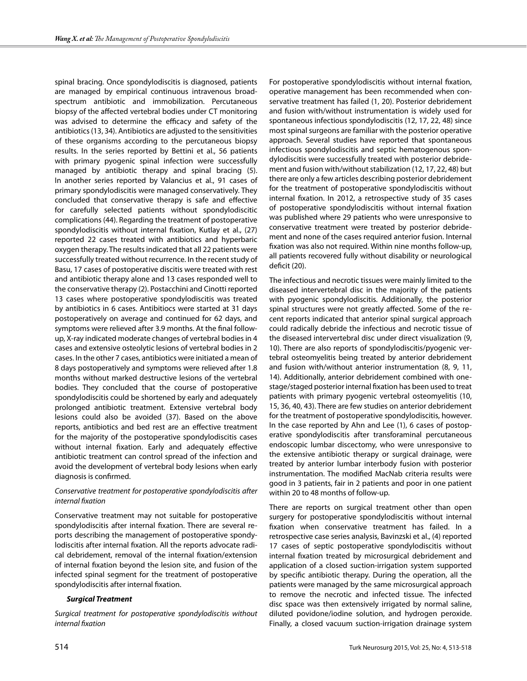spinal bracing. Once spondylodiscitis is diagnosed, patients are managed by empirical continuous intravenous broadspectrum antibiotic and immobilization. Percutaneous biopsy of the affected vertebral bodies under CT monitoring was advised to determine the efficacy and safety of the antibiotics (13, 34). Antibiotics are adjusted to the sensitivities of these organisms according to the percutaneous biopsy results. In the series reported by Bettini et al., 56 patients with primary pyogenic spinal infection were successfully managed by antibiotic therapy and spinal bracing (5). In another series reported by Valancius et al., 91 cases of primary spondylodiscitis were managed conservatively. They concluded that conservative therapy is safe and effective for carefully selected patients without spondylodiscitic complications (44). Regarding the treatment of postoperative spondylodiscitis without internal fixation, Kutlay et al., (27) reported 22 cases treated with antibiotics and hyperbaric oxygen therapy. The results indicated that all 22 patients were successfully treated without recurrence. In the recent study of Basu, 17 cases of postoperative discitis were treated with rest and antibiotic therapy alone and 13 cases responded well to the conservative therapy (2). Postacchini and Cinotti reported 13 cases where postoperative spondylodiscitis was treated by antibiotics in 6 cases. Antibitiocs were started at 31 days postoperatively on average and continued for 62 days, and symptoms were relieved after 3.9 months. At the final followup, X-ray indicated moderate changes of vertebral bodies in 4 cases and extensive osteolytic lesions of vertebral bodies in 2 cases. In the other 7 cases, antibiotics were initiated a mean of 8 days postoperatively and symptoms were relieved after 1.8 months without marked destructive lesions of the vertebral bodies. They concluded that the course of postoperative spondylodiscitis could be shortened by early and adequately prolonged antibiotic treatment. Extensive vertebral body lesions could also be avoided (37). Based on the above reports, antibiotics and bed rest are an effective treatment for the majority of the postoperative spondylodiscitis cases without internal fixation. Early and adequately effective antibiotic treatment can control spread of the infection and avoid the development of vertebral body lesions when early diagnosis is confirmed.

## *Conservative treatment for postoperative spondylodiscitis after internal fixation*

Conservative treatment may not suitable for postoperative spondylodiscitis after internal fixation. There are several reports describing the management of postoperative spondylodiscitis after internal fixation. All the reports advocate radical debridement, removal of the internal fixation/extension of internal fixation beyond the lesion site, and fusion of the infected spinal segment for the treatment of postoperative spondylodiscitis after internal fixation.

## *Surgical Treatment*

*Surgical treatment for postoperative spondylodiscitis without internal fixation*

For postoperative spondylodiscitis without internal fixation, operative management has been recommended when conservative treatment has failed (1, 20). Posterior debridement and fusion with/without instrumentation is widely used for spontaneous infectious spondylodiscitis (12, 17, 22, 48) since most spinal surgeons are familiar with the posterior operative approach. Several studies have reported that spontaneous infectious spondylodiscitis and septic hematogenous spondylodiscitis were successfully treated with posterior debridement and fusion with/without stabilization (12, 17, 22, 48) but there are only a few articles describing posterior debridement for the treatment of postoperative spondylodiscitis without internal fixation. In 2012, a retrospective study of 35 cases of postoperative spondylodiscitis without internal fixation was published where 29 patients who were unresponsive to conservative treatment were treated by posterior debridement and none of the cases required anterior fusion. Internal fixation was also not required. Within nine months follow-up, all patients recovered fully without disability or neurological deficit (20).

The infectious and necrotic tissues were mainly limited to the diseased intervertebral disc in the majority of the patients with pyogenic spondylodiscitis. Additionally, the posterior spinal structures were not greatly affected. Some of the recent reports indicated that anterior spinal surgical approach could radically debride the infectious and necrotic tissue of the diseased intervertebral disc under direct visualization (9, 10). There are also reports of spondylodiscitis/pyogenic vertebral osteomyelitis being treated by anterior debridement and fusion with/without anterior instrumentation (8, 9, 11, 14). Additionally, anterior debridement combined with onestage/staged posterior internal fixation has been used to treat patients with primary pyogenic vertebral osteomyelitis (10, 15, 36, 40, 43). There are few studies on anterior debridement for the treatment of postoperative spondylodiscitis, however. In the case reported by Ahn and Lee (1), 6 cases of postoperative spondylodiscitis after transforaminal percutaneous endoscopic lumbar discectomy, who were unresponsive to the extensive antibiotic therapy or surgical drainage, were treated by anterior lumbar interbody fusion with posterior instrumentation. The modified MacNab criteria results were good in 3 patients, fair in 2 patients and poor in one patient within 20 to 48 months of follow-up.

There are reports on surgical treatment other than open surgery for postoperative spondylodiscitis without internal fixation when conservative treatment has failed. In a retrospective case series analysis, Bavinzski et al., (4) reported 17 cases of septic postoperative spondylodiscitis without internal fixation treated by microsurgical debridement and application of a closed suction-irrigation system supported by specific antibiotic therapy. During the operation, all the patients were managed by the same microsurgical approach to remove the necrotic and infected tissue. The infected disc space was then extensively irrigated by normal saline, diluted povidone/iodine solution, and hydrogen peroxide. Finally, a closed vacuum suction-irrigation drainage system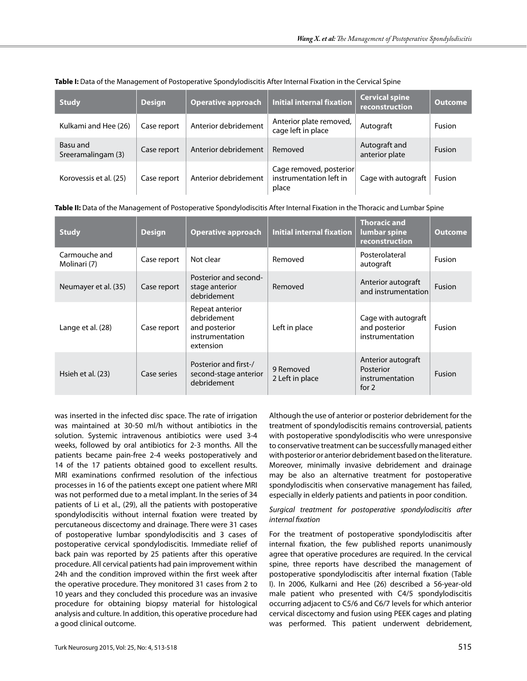| <b>Study</b>                   | <b>Design</b> | <b>Operative approach</b> | <b>Initial internal fixation</b>                            | <b>Cervical spine</b><br>reconstruction | <b>Outcome</b> |
|--------------------------------|---------------|---------------------------|-------------------------------------------------------------|-----------------------------------------|----------------|
| Kulkami and Hee (26)           | Case report   | Anterior debridement      | Anterior plate removed,<br>cage left in place               | Autograft                               | <b>Fusion</b>  |
| Basu and<br>Sreeramalingam (3) | Case report   | Anterior debridement      | Removed                                                     | Autograft and<br>anterior plate         | Fusion         |
| Korovessis et al. (25)         | Case report   | Anterior debridement      | Cage removed, posterior<br>instrumentation left in<br>place | Cage with autograft                     | <b>Fusion</b>  |

## **Table I:** Data of the Management of Postoperative Spondylodiscitis After Internal Fixation in the Cervical Spine

### **Table II:** Data of the Management of Postoperative Spondylodiscitis After Internal Fixation in the Thoracic and Lumbar Spine

| <b>Study</b>                  | <b>Design</b> | <b>Operative approach</b>                                                       | <b>Initial internal fixation</b> | <b>Thoracic and</b><br>lumbar spine<br>reconstruction         | <b>Outcome</b> |
|-------------------------------|---------------|---------------------------------------------------------------------------------|----------------------------------|---------------------------------------------------------------|----------------|
| Carmouche and<br>Molinari (7) | Case report   | Not clear                                                                       | Removed                          | Posterolateral<br>autograft                                   | Fusion         |
| Neumayer et al. (35)          | Case report   | Posterior and second-<br>stage anterior<br>debridement                          | Removed                          | Anterior autograft<br>and instrumentation                     | <b>Fusion</b>  |
| Lange et al. (28)             | Case report   | Repeat anterior<br>debridement<br>and posterior<br>instrumentation<br>extension | Left in place                    | Cage with autograft<br>and posterior<br>instrumentation       | Fusion         |
| Hsieh et al. (23)             | Case series   | Posterior and first-/<br>second-stage anterior<br>debridement                   | 9 Removed<br>2 Left in place     | Anterior autograft<br>Posterior<br>instrumentation<br>for $2$ | <b>Fusion</b>  |

was inserted in the infected disc space. The rate of irrigation was maintained at 30-50 ml/h without antibiotics in the solution. Systemic intravenous antibiotics were used 3-4 weeks, followed by oral antibiotics for 2-3 months. All the patients became pain-free 2-4 weeks postoperatively and 14 of the 17 patients obtained good to excellent results. MRI examinations confirmed resolution of the infectious processes in 16 of the patients except one patient where MRI was not performed due to a metal implant. In the series of 34 patients of Li et al., (29), all the patients with postoperative spondylodiscitis without internal fixation were treated by percutaneous discectomy and drainage. There were 31 cases of postoperative lumbar spondylodiscitis and 3 cases of postoperative cervical spondylodiscitis. Immediate relief of back pain was reported by 25 patients after this operative procedure. All cervical patients had pain improvement within 24h and the condition improved within the first week after the operative procedure. They monitored 31 cases from 2 to 10 years and they concluded this procedure was an invasive procedure for obtaining biopsy material for histological analysis and culture. In addition, this operative procedure had a good clinical outcome.

Although the use of anterior or posterior debridement for the treatment of spondylodiscitis remains controversial, patients with postoperative spondylodiscitis who were unresponsive to conservative treatment can be successfully managed either with posterior or anterior debridement based on the literature. Moreover, minimally invasive debridement and drainage may be also an alternative treatment for postoperative spondylodiscitis when conservative management has failed, especially in elderly patients and patients in poor condition.

#### *Surgical treatment for postoperative spondylodiscitis after internal fixation*

For the treatment of postoperative spondylodiscitis after internal fixation, the few published reports unanimously agree that operative procedures are required. In the cervical spine, three reports have described the management of postoperative spondylodiscitis after internal fixation (Table I). In 2006, Kulkarni and Hee (26) described a 56-year-old male patient who presented with C4/5 spondylodiscitis occurring adjacent to C5/6 and C6/7 levels for which anterior cervical discectomy and fusion using PEEK cages and plating was performed. This patient underwent debridement,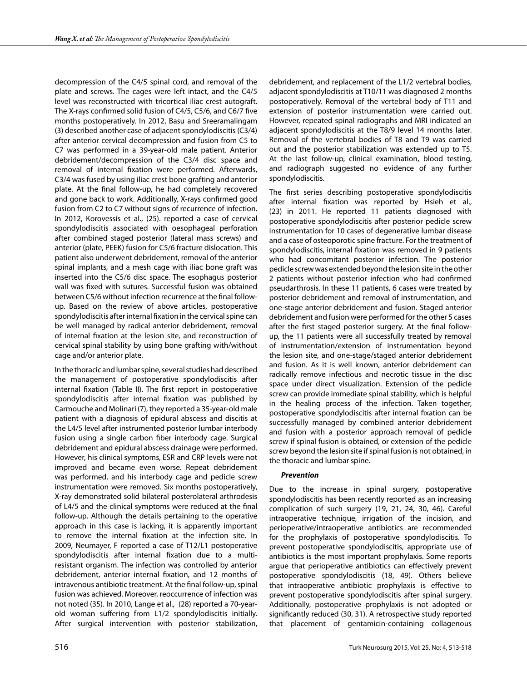decompression of the C4/5 spinal cord, and removal of the plate and screws. The cages were left intact, and the C4/5 level was reconstructed with tricortical iliac crest autograft. The X-rays confirmed solid fusion of C4/5, C5/6, and C6/7 five months postoperatively. In 2012, Basu and Sreeramalingam (3) described another case of adjacent spondylodiscitis (C3/4) after anterior cervical decompression and fusion from C5 to C7 was performed in a 39-year-old male patient. Anterior debridement/decompression of the C3/4 disc space and removal of internal fixation were performed. Afterwards, C3/4 was fused by using iliac crest bone grafting and anterior plate. At the final follow-up, he had completely recovered and gone back to work. Additionally, X-rays confirmed good fusion from C2 to C7 without signs of recurrence of infection. In 2012, Korovessis et al., (25). reported a case of cervical spondylodiscitis associated with oesophageal perforation after combined staged posterior (lateral mass screws) and anterior (plate, PEEK) fusion for C5/6 fracture dislocation. This patient also underwent debridement, removal of the anterior spinal implants, and a mesh cage with iliac bone graft was inserted into the C5/6 disc space. The esophagus posterior wall was fixed with sutures. Successful fusion was obtained between C5/6 without infection recurrence at the final followup. Based on the review of above articles, postoperative spondylodiscitis after internal fixation in the cervical spine can be well managed by radical anterior debridement, removal of internal fixation at the lesion site, and reconstruction of cervical spinal stability by using bone grafting with/without cage and/or anterior plate.

In the thoracic and lumbar spine, several studies had described the management of postoperative spondylodiscitis after internal fixation (Table II). The first report in postoperative spondylodiscitis after internal fixation was published by Carmouche and Molinari (7), they reported a 35-year-old male patient with a diagnosis of epidural abscess and discitis at the L4/5 level after instrumented posterior lumbar interbody fusion using a single carbon fiber interbody cage. Surgical debridement and epidural abscess drainage were performed. However, his clinical symptoms, ESR and CRP levels were not improved and became even worse. Repeat debridement was performed, and his interbody cage and pedicle screw instrumentation were removed. Six months postoperatively, X-ray demonstrated solid bilateral posterolateral arthrodesis of L4/5 and the clinical symptoms were reduced at the final follow-up. Although the details pertaining to the operative approach in this case is lacking, it is apparently important to remove the internal fixation at the infection site. In 2009, Neumayer, F reported a case of T12/L1 postoperative spondylodiscitis after internal fixation due to a multiresistant organism. The infection was controlled by anterior debridement, anterior internal fixation, and 12 months of intravenous antibiotic treatment. At the final follow-up, spinal fusion was achieved. Moreover, reoccurrence of infection was not noted (35). In 2010, Lange et al., (28) reported a 70-yearold woman suffering from L1/2 spondylodiscitis initially. After surgical intervention with posterior stabilization,

debridement, and replacement of the L1/2 vertebral bodies, adjacent spondylodiscitis at T10/11 was diagnosed 2 months postoperatively. Removal of the vertebral body of T11 and extension of posterior instrumentation were carried out. However, repeated spinal radiographs and MRI indicated an adjacent spondylodiscitis at the T8/9 level 14 months later. Removal of the vertebral bodies of T8 and T9 was carried out and the posterior stabilization was extended up to T5. At the last follow-up, clinical examination, blood testing, and radiograph suggested no evidence of any further spondylodiscitis.

The first series describing postoperative spondylodiscitis after internal fixation was reported by Hsieh et al., (23) in 2011. He reported 11 patients diagnosed with postoperative spondylodiscitis after posterior pedicle screw instrumentation for 10 cases of degenerative lumbar disease and a case of osteoporotic spine fracture. For the treatment of spondylodiscitis, internal fixation was removed in 9 patients who had concomitant posterior infection. The posterior pedicle screw was extended beyond the lesion site in the other 2 patients without posterior infection who had confirmed pseudarthrosis. In these 11 patients, 6 cases were treated by posterior debridement and removal of instrumentation, and one-stage anterior debridement and fusion. Staged anterior debridement and fusion were performed for the other 5 cases after the first staged posterior surgery. At the final followup, the 11 patients were all successfully treated by removal of instrumentation/extension of instrumentation beyond the lesion site, and one-stage/staged anterior debridement and fusion. As it is well known, anterior debridement can radically remove infectious and necrotic tissue in the disc space under direct visualization. Extension of the pedicle screw can provide immediate spinal stability, which is helpful in the healing process of the infection. Taken together, postoperative spondylodiscitis after internal fixation can be successfully managed by combined anterior debridement and fusion with a posterior approach removal of pedicle screw if spinal fusion is obtained, or extension of the pedicle screw beyond the lesion site if spinal fusion is not obtained, in the thoracic and lumbar spine.

#### *Prevention*

Due to the increase in spinal surgery, postoperative spondylodiscitis has been recently reported as an increasing complication of such surgery (19, 21, 24, 30, 46). Careful intraoperative technique, irrigation of the incision, and perioperative/intraoperative antibiotics are recommended for the prophylaxis of postoperative spondylodiscitis. To prevent postoperative spondylodiscitis, appropriate use of antibiotics is the most important prophylaxis. Some reports argue that perioperative antibiotics can effectively prevent postoperative spondylodiscitis (18, 49). Others believe that intraoperative antibiotic prophylaxis is effective to prevent postoperative spondylodiscitis after spinal surgery. Additionally, postoperative prophylaxis is not adopted or significantly reduced (30, 31). A retrospective study reported that placement of gentamicin-containing collagenous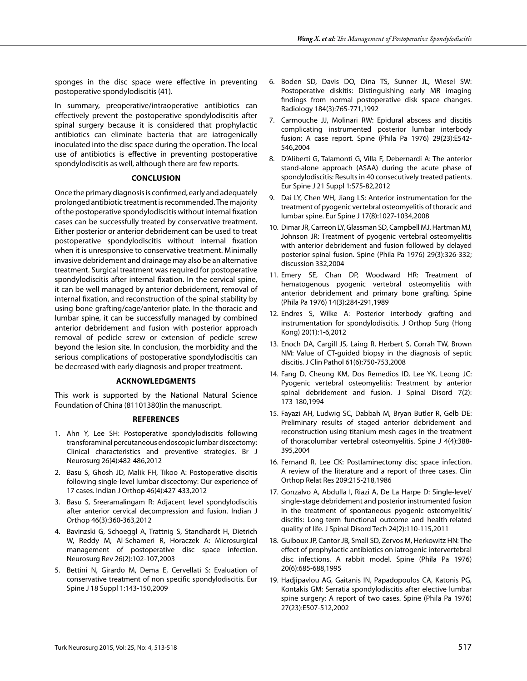sponges in the disc space were effective in preventing postoperative spondylodiscitis (41).

In summary, preoperative/intraoperative antibiotics can effectively prevent the postoperative spondylodiscitis after spinal surgery because it is considered that prophylactic antibiotics can eliminate bacteria that are iatrogenically inoculated into the disc space during the operation. The local use of antibiotics is effective in preventing postoperative spondylodiscitis as well, although there are few reports.

### **Conclusion**

Once the primary diagnosis is confirmed, early and adequately prolonged antibiotic treatment is recommended. The majority of the postoperative spondylodiscitis without internal fixation cases can be successfully treated by conservative treatment. Either posterior or anterior debridement can be used to treat postoperative spondylodiscitis without internal fixation when it is unresponsive to conservative treatment. Minimally invasive debridement and drainage may also be an alternative treatment. Surgical treatment was required for postoperative spondylodiscitis after internal fixation. In the cervical spine, it can be well managed by anterior debridement, removal of internal fixation, and reconstruction of the spinal stability by using bone grafting/cage/anterior plate. In the thoracic and lumbar spine, it can be successfully managed by combined anterior debridement and fusion with posterior approach removal of pedicle screw or extension of pedicle screw beyond the lesion site. In conclusion, the morbidity and the serious complications of postoperative spondylodiscitis can be decreased with early diagnosis and proper treatment.

# **Acknowledgments**

This work is supported by the National Natural Science Foundation of China (81101380)in the manuscript.

## **References**

- 1. Ahn Y, Lee SH: Postoperative spondylodiscitis following transforaminal percutaneous endoscopic lumbar discectomy: Clinical characteristics and preventive strategies. Br J Neurosurg 26(4):482-486,2012
- 2. Basu S, Ghosh JD, Malik FH, Tikoo A: Postoperative discitis following single-level lumbar discectomy: Our experience of 17 cases. Indian J Orthop 46(4):427-433,2012
- 3. Basu S, Sreeramalingam R: Adjacent level spondylodiscitis after anterior cervical decompression and fusion. Indian J Orthop 46(3):360-363,2012
- 4. Bavinzski G, Schoeggl A, Trattnig S, Standhardt H, Dietrich W, Reddy M, Al-Schameri R, Horaczek A: Microsurgical management of postoperative disc space infection. Neurosurg Rev 26(2):102-107,2003
- 5. Bettini N, Girardo M, Dema E, Cervellati S: Evaluation of conservative treatment of non specific spondylodiscitis. Eur Spine J 18 Suppl 1:143-150,2009
- 6. Boden SD, Davis DO, Dina TS, Sunner JL, Wiesel SW: Postoperative diskitis: Distinguishing early MR imaging findings from normal postoperative disk space changes. Radiology 184(3):765-771,1992
- 7. Carmouche JJ, Molinari RW: Epidural abscess and discitis complicating instrumented posterior lumbar interbody fusion: A case report. Spine (Phila Pa 1976) 29(23):E542- 546,2004
- 8. D'Aliberti G, Talamonti G, Villa F, Debernardi A: The anterior stand-alone approach (ASAA) during the acute phase of spondylodiscitis: Results in 40 consecutively treated patients. Eur Spine J 21 Suppl 1:S75-82,2012
- 9. Dai LY, Chen WH, Jiang LS: Anterior instrumentation for the treatment of pyogenic vertebral osteomyelitis of thoracic and lumbar spine. Eur Spine J 17(8):1027-1034,2008
- 10. Dimar JR, Carreon LY, Glassman SD, Campbell MJ, Hartman MJ, Johnson JR: Treatment of pyogenic vertebral osteomyelitis with anterior debridement and fusion followed by delayed posterior spinal fusion. Spine (Phila Pa 1976) 29(3):326-332; discussion 332,2004
- 11. Emery SE, Chan DP, Woodward HR: Treatment of hematogenous pyogenic vertebral osteomyelitis with anterior debridement and primary bone grafting. Spine (Phila Pa 1976) 14(3):284-291,1989
- 12. Endres S, Wilke A: Posterior interbody grafting and instrumentation for spondylodiscitis. J Orthop Surg (Hong Kong) 20(1):1-6,2012
- 13. Enoch DA, Cargill JS, Laing R, Herbert S, Corrah TW, Brown NM: Value of CT-guided biopsy in the diagnosis of septic discitis. J Clin Pathol 61(6):750-753,2008
- 14. Fang D, Cheung KM, Dos Remedios ID, Lee YK, Leong JC: Pyogenic vertebral osteomyelitis: Treatment by anterior spinal debridement and fusion. J Spinal Disord 7(2): 173-180,1994
- 15. Fayazi AH, Ludwig SC, Dabbah M, Bryan Butler R, Gelb DE: Preliminary results of staged anterior debridement and reconstruction using titanium mesh cages in the treatment of thoracolumbar vertebral osteomyelitis. Spine J 4(4):388- 395,2004
- 16. Fernand R, Lee CK: Postlaminectomy disc space infection. A review of the literature and a report of three cases. Clin Orthop Relat Res 209:215-218,1986
- 17. Gonzalvo A, Abdulla I, Riazi A, De La Harpe D: Single-level/ single-stage debridement and posterior instrumented fusion in the treatment of spontaneous pyogenic osteomyelitis/ discitis: Long-term functional outcome and health-related quality of life. J Spinal Disord Tech 24(2):110-115,2011
- 18. Guiboux JP, Cantor JB, Small SD, Zervos M, Herkowitz HN: The effect of prophylactic antibiotics on iatrogenic intervertebral disc infections. A rabbit model. Spine (Phila Pa 1976) 20(6):685-688,1995
- 19. Hadjipavlou AG, Gaitanis IN, Papadopoulos CA, Katonis PG, Kontakis GM: Serratia spondylodiscitis after elective lumbar spine surgery: A report of two cases. Spine (Phila Pa 1976) 27(23):E507-512,2002